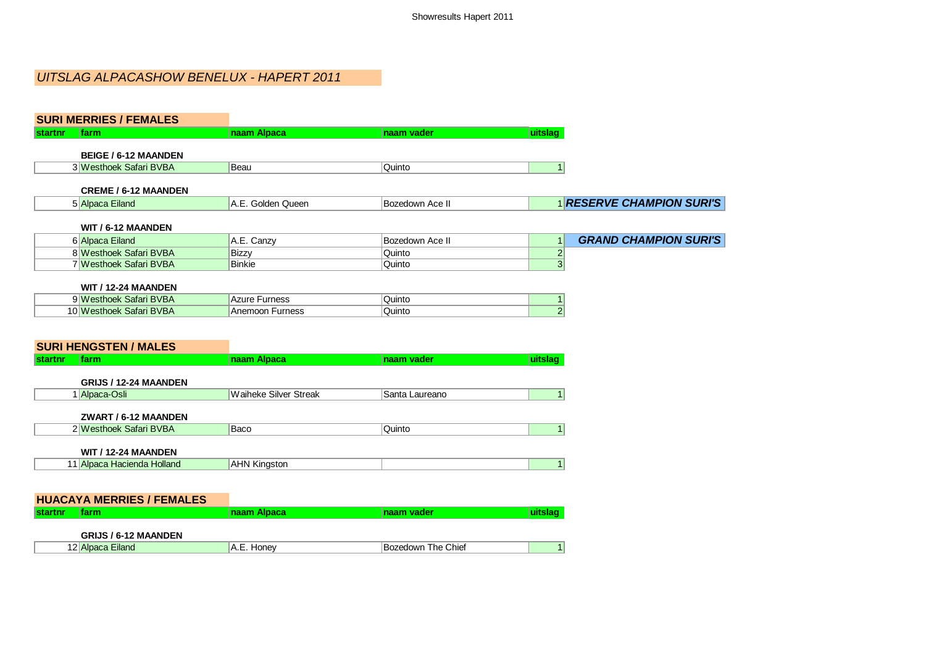# UITSLAG ALPACASHOW BENELUX - HAPERT 2011

| <b>SURI MERRIES / FEMALES</b>                 |                              |                    |                |                                  |
|-----------------------------------------------|------------------------------|--------------------|----------------|----------------------------------|
| farm<br><b>startnr</b>                        | naam Alpaca                  | naam vader         | uitslag        |                                  |
| <b>BEIGE / 6-12 MAANDEN</b>                   |                              |                    |                |                                  |
| 3 Westhoek Safari BVBA                        | Beau                         | Quinto             | 1              |                                  |
| <b>CREME / 6-12 MAANDEN</b>                   |                              |                    |                |                                  |
| 5 Alpaca Eiland                               | A.E. Golden Queen            | Bozedown Ace II    |                | <b>1 RESERVE CHAMPION SURI'S</b> |
| WIT / 6-12 MAANDEN                            |                              |                    |                |                                  |
| 6 Alpaca Eiland                               | A.E. Canzy                   | Bozedown Ace II    | $\mathbf{1}$   | <b>GRAND CHAMPION SURI'S</b>     |
| 8 Westhoek Safari BVBA                        | <b>Bizzy</b>                 | Quinto             | $\overline{2}$ |                                  |
| 7 Westhoek Safari BVBA                        | <b>Binkie</b>                | Quinto             | $\overline{3}$ |                                  |
|                                               |                              |                    |                |                                  |
| WIT / 12-24 MAANDEN<br>9 Westhoek Safari BVBA | Azure Furness                | Quinto             | $\mathbf{1}$   |                                  |
| 10 Westhoek Safari BVBA                       | Anemoon Furness              | Quinto             | $\overline{2}$ |                                  |
| <b>SURI HENGSTEN / MALES</b>                  |                              |                    |                |                                  |
| <b>startnr</b><br>farm                        | naam Alpaca                  | naam vader         | uitslag        |                                  |
| GRIJS / 12-24 MAANDEN                         |                              |                    |                |                                  |
| 1 Alpaca-Osli                                 | <b>Waiheke Silver Streak</b> | Santa Laureano     | 1              |                                  |
| ZWART / 6-12 MAANDEN                          |                              |                    |                |                                  |
| 2 Westhoek Safari BVBA                        | Baco                         | Quinto             | 1              |                                  |
| <b>WIT / 12-24 MAANDEN</b>                    |                              |                    |                |                                  |
| 11 Alpaca Hacienda Holland                    | <b>AHN Kingston</b>          |                    | 1              |                                  |
|                                               |                              |                    |                |                                  |
| <b>HUACAYA MERRIES / FEMALES</b>              |                              |                    |                |                                  |
| farm<br><b>startnr</b>                        | naam Alpaca                  | naam vader         | uitslag        |                                  |
|                                               |                              |                    |                |                                  |
| <b>GRIJS / 6-12 MAANDEN</b>                   |                              |                    |                |                                  |
| 12 Alpaca Eiland                              | A.E. Honey                   | Bozedown The Chief | 1              |                                  |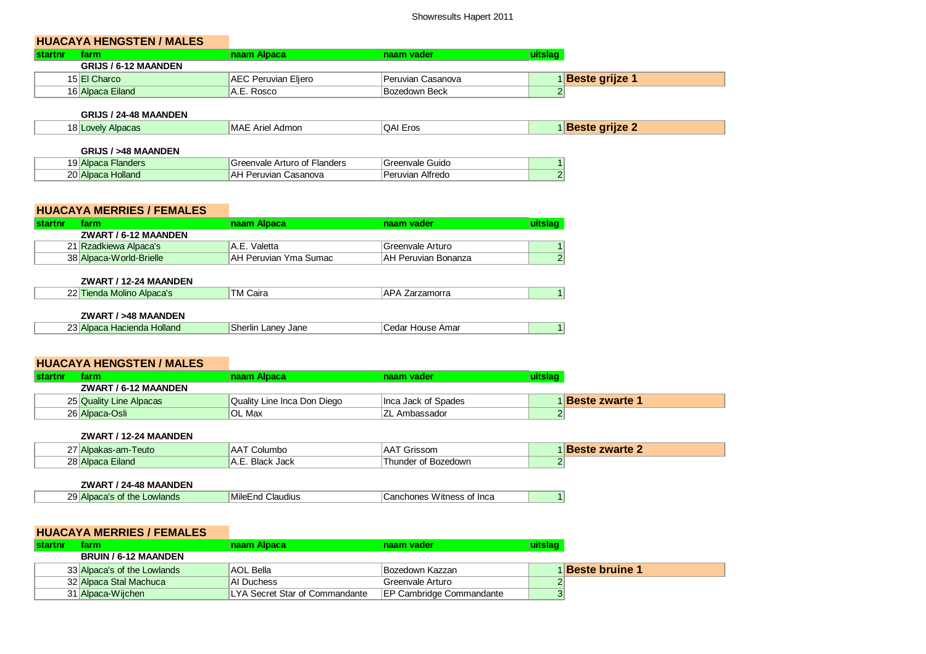# **HUACAYA HENGSTEN / MALES**

| tarm                        | naam Alpaca         | <b>naam vader</b> |                       |  |
|-----------------------------|---------------------|-------------------|-----------------------|--|
| <b>GRIJS / 6-12 MAANDEN</b> |                     |                   |                       |  |
| 15 El Charco                | AEC Peruvian Eljero | Peruvian Casanova | <b>Beste grijze 1</b> |  |
| 16 Alpaca Eiland            | A.E. Rosco          | Bozedown Beck     |                       |  |

#### **GRIJS / 24-48 MAANDEN**

| ∣MAE<br>∖dmor<br>.<br>ו היה<br>10000<br>∶د∪<br>Aric<br>-105<br><b>Allie</b><br>AU IC<br>a. |  |  |  |  |
|--------------------------------------------------------------------------------------------|--|--|--|--|
|--------------------------------------------------------------------------------------------|--|--|--|--|

### **GRIJS / >48 MAANDEN**

| 10.<br>·landers<br>AIDdl<br>$\mathbf{\sigma}$ | uuqete.<br>$\overline{\phantom{a}}$<br>ale<br>. AIII. | Guido            |   |
|-----------------------------------------------|-------------------------------------------------------|------------------|---|
| ົດດະ<br>tolland<br>∠∪″<br>__                  | ∧⊾<br>າບາເຮ<br>vo                                     | Alfredo<br>- - - | ⌒ |

## **HUACAYA MERRIES / FEMALES**

| <b>Istartnr</b> | arm:                    | naam Alpaca           | <b>naam vader</b>             |  |
|-----------------|-------------------------|-----------------------|-------------------------------|--|
|                 | ZWART / 6-12 MAANDEN    |                       |                               |  |
|                 | 21 Rzadkiewa Alpaca's   | A.E. Valetta          | <sup>1</sup> Greenvale Arturo |  |
|                 | 38 Alpaca-World-Brielle | AH Peruvian Yma Sumac | IAH Peruvian Bonanza          |  |

### **ZWART / 12-24 MAANDEN**

| ________________________                              |                     |    |  |
|-------------------------------------------------------|---------------------|----|--|
| ົ<br><b>Molinc</b><br>Albaca.<br>$\blacksquare$<br>юи | Cair:<br>IM.<br>___ | ∼. |  |
|                                                       |                     |    |  |

## **ZWART / >48 MAANDEN**

| כי<br>Holland<br>Hacienda I<br>'31 A It<br>,,,,,<br>101.0 | Jane<br>'llr<br>∟anev<br>sner,<br>. | . Amar<br>HOUSA<br>edar<br>- 15<br>______ |  |
|-----------------------------------------------------------|-------------------------------------|-------------------------------------------|--|
|-----------------------------------------------------------|-------------------------------------|-------------------------------------------|--|

## **HUACAYA HENGSTEN / MALES**

| <b>startn</b> |                         | naam Alpaca                 | <b>naam vader</b>   |                             |
|---------------|-------------------------|-----------------------------|---------------------|-----------------------------|
|               | ZWART / 6-12 MAANDEN    |                             |                     |                             |
|               | 25 Quality Line Alpacas | Quality Line Inca Don Diego | Inca Jack of Spades | <sup>1</sup> Beste zwarte 1 |
|               | 26 Alpaca-Osli          | OL Max                      | ∣ZL Ambassador      |                             |

#### **ZWART / 12-24 MAANDEN**

| 27 Alpakas-am-Teuto | <b>AAT</b><br>Columbo        | Grissom<br>'AA.     | <b>Beste zwarte</b> |
|---------------------|------------------------------|---------------------|---------------------|
| 28 Alpaca Eiland    | <b>Black Jack</b><br>▵<br>◝・ | Thunder of Bozedown |                     |

## **ZWART / 24-48 MAANDEN**

| ا29<br>Lowlands<br>Alpaca's<br>of the<br>__ | Milet<br><i>;</i> laudius<br>:nd | of Inca<br><b>Witness</b><br>ncnones |  |
|---------------------------------------------|----------------------------------|--------------------------------------|--|
|---------------------------------------------|----------------------------------|--------------------------------------|--|

# **HUACAYA MERRIES / FEMALES**

| startnr | tarm                        | naam Alpaca                    | <b>naam vader</b>               | <b>uitslao</b> |                         |
|---------|-----------------------------|--------------------------------|---------------------------------|----------------|-------------------------|
|         | <b>BRUIN / 6-12 MAANDEN</b> |                                |                                 |                |                         |
|         | 33 Alpaca's of the Lowlands | AOL Bella                      | Bozedown Kazzan                 |                | 1 <b>Beste bruine 1</b> |
|         | 32 Alpaca Stal Machuca      | AI Duchess                     | Greenvale Arturo                |                |                         |
|         | 31 Alpaca-Wijchen           | LYA Secret Star of Commandante | <b>EP Cambridge Commandante</b> |                |                         |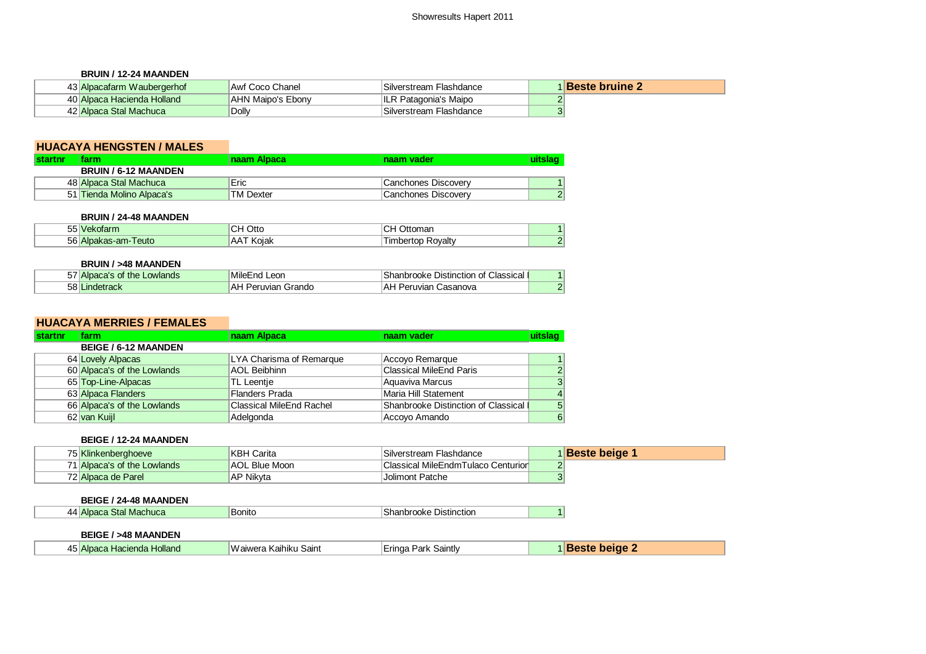#### **BRUIN / 12-24 MAANDEN**

| 43 Alpacafarm Waubergerhof | Awf Coco Chanel   | Silverstream Flashdance | <b>I</b> Beste bruine 2 |
|----------------------------|-------------------|-------------------------|-------------------------|
| 40 Alpaca Hacienda Holland | AHN Maipo's Ebony | ILR Patagonia's Maipo   |                         |
| 42 Alpaca Stal Machuca     | Dolly             | Silverstream Flashdance |                         |

# **HUACAYA HENGSTEN / MALES**

| <b>startnr</b> | tarm                        | Inaam Alpaca     | Inaam vader         |   |
|----------------|-----------------------------|------------------|---------------------|---|
|                | <b>BRUIN / 6-12 MAANDEN</b> |                  |                     |   |
|                | 48 Alpaca Stal Machuca      | Eric             | Canchones Discovery |   |
|                | 51 Tienda Molino Alpaca's   | <b>TM Dexter</b> | Canchones Discovery | ◠ |

#### **BRUIN / 24-48 MAANDEN**

| $- - -$<br>∼<br>≅⊌ekola⊓n.<br>ີ | Ottc<br>◡┌  | mon<br><b>Juonia</b><br>◡     |  |
|---------------------------------|-------------|-------------------------------|--|
| 56<br>l euto<br>√Alpakas-am-    | AA<br>Koial | रेovaltv<br>. ır<br>npen<br>w |  |

#### **BRUIN / >48 MAANDEN**

| $- -$<br>Alpaca's of the Lowlands | .<br>Leon<br>⊺MıleEnd I | Shanbrooke Distinction of<br>Classical |   |
|-----------------------------------|-------------------------|----------------------------------------|---|
| 58 Lindetrack                     | 'AF<br>Peruvian Grando  | eruvian<br>Casanova<br>A۴              | ⌒ |

## **HUACAYA MERRIES / FEMALES**

| startnr | farm/                       | naam Alpaca                     | naam vader                          | uitslag        |
|---------|-----------------------------|---------------------------------|-------------------------------------|----------------|
|         | <b>BEIGE / 6-12 MAANDEN</b> |                                 |                                     |                |
|         | 64 Lovely Alpacas           | LYA Charisma of Remarque        | Accoyo Remarque                     |                |
|         | 60 Alpaca's of the Lowlands | AOL Beibhinn                    | <b>Classical MileEnd Paris</b>      | $\overline{2}$ |
|         | 65 Top-Line-Alpacas         | TL Leentie                      | Aquaviva Marcus                     | 3              |
|         | 63 Alpaca Flanders          | Flanders Prada                  | Maria Hill Statement                | $\vert$        |
|         | 66 Alpaca's of the Lowlands | <b>Classical MileEnd Rachel</b> | Shanbrooke Distinction of Classical | 5 <sup>5</sup> |
|         | 62 van Kuijl                | Adelgonda                       | Accoyo Amando                       | $6 \mid$       |

#### **BEIGE / 12-24 MAANDEN**

| -----------------------     |                      |                                    |                       |
|-----------------------------|----------------------|------------------------------------|-----------------------|
| 75 Klinkenberghoeve         | KBH Carita           | Silverstream Flashdance            | <b>∣Beste beige</b> ' |
| 71 Alpaca's of the Lowlands | <b>AOL Blue Moon</b> | Classical MileEndmTulaco Centurior |                       |
| 72 Alpaca de Parel          | <b>AP Nikvta</b>     | Jolimont Patche                    |                       |

## **BEIGE / 24-48 MAANDEN**

|  | $\Lambda$ is<br>/I /I<br>ıcnuca<br>. .<br>- IVIA.<br>$\sim$ | ר nitc<br>JC. | 'Jistinction<br>w<br><br>11 JN C<br>______ |  |
|--|-------------------------------------------------------------|---------------|--------------------------------------------|--|
|--|-------------------------------------------------------------|---------------|--------------------------------------------|--|

#### **BEIGE / >48 MAANDEN**

| <b>Alpa</b><br>Hacienda<br>$T = T$<br> |  | Holland | Saint<br>'aiwera<br>Kaihiku | Saintl∨<br>Park<br>:ringa |  | heide |
|----------------------------------------|--|---------|-----------------------------|---------------------------|--|-------|
|----------------------------------------|--|---------|-----------------------------|---------------------------|--|-------|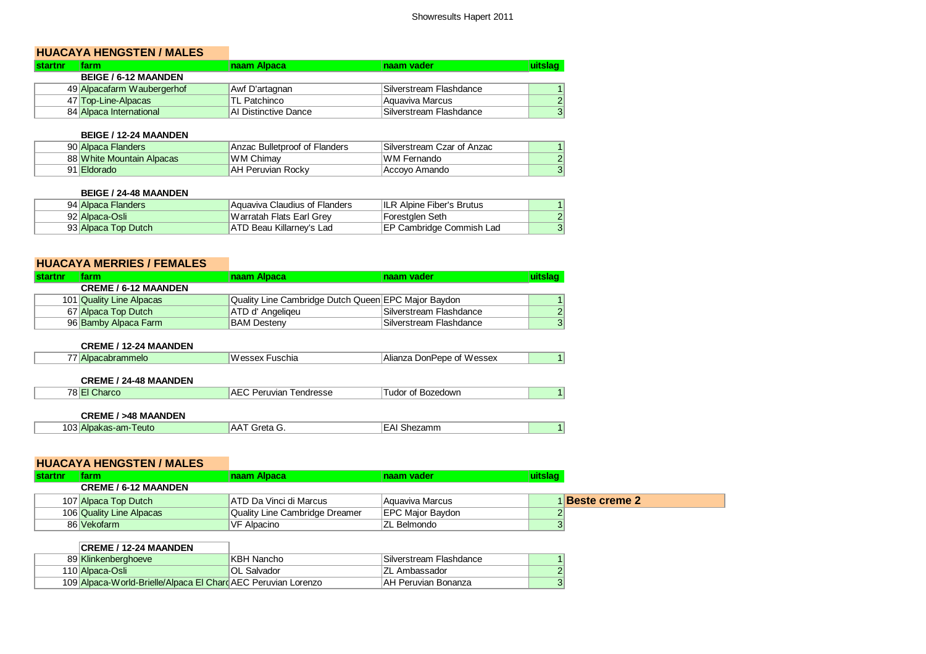# **HUACAYA HENGSTEN / MALES**

| <b>startnr</b> | farm.                       | ∣naam Alpaca∶        | <b>naam vader</b>       | uitsiao |
|----------------|-----------------------------|----------------------|-------------------------|---------|
|                | <b>BEIGE / 6-12 MAANDEN</b> |                      |                         |         |
|                | 49 Alpacafarm Waubergerhof  | Awf D'artagnan       | Silverstream Flashdance |         |
|                | 47 Top-Line-Alpacas         | <b>TL Patchinco</b>  | Aauaviva Marcus         | 2       |
|                | 84 Alpaca International     | Al Distinctive Dance | Silverstream Flashdance | $\circ$ |

## **BEIGE / 12-24 MAANDEN**

| 90 Alpaca Flanders        | Anzac Bulletproof of Flanders | Silverstream Czar of Anzac |                |
|---------------------------|-------------------------------|----------------------------|----------------|
| 88 White Mountain Alpacas | <b>WM Chimav</b>              | <b>WM Fernando</b>         | 2 <sup>1</sup> |
| 91 Eldorado               | <b>AH Peruvian Rockv</b>      | Accovo Amando              | 3 <sup>1</sup> |

## **BEIGE / 24-48 MAANDEN**

| 94 Alpaca Flanders  | Aquaviva Claudius of Flanders | ILR Alpine Fiber's Brutus        |  |
|---------------------|-------------------------------|----------------------------------|--|
| 92 Alpaca-Osli      | Warratah Flats Earl Grey      | Forestglen Seth                  |  |
| 93 Alpaca Top Dutch | ATD Beau Killarney's Lad      | <b>IEP Cambridge Commish Lad</b> |  |

# **HUACAYA MERRIES / FEMALES**

| <b>Istartnr</b> | farm                        | <b>naam Alpaca</b>                                  | <b>naam vader</b>       | uitslag |
|-----------------|-----------------------------|-----------------------------------------------------|-------------------------|---------|
|                 | <b>CREME / 6-12 MAANDEN</b> |                                                     |                         |         |
|                 | 101 Quality Line Alpacas    | Quality Line Cambridge Dutch Queen EPC Major Baydon |                         |         |
|                 | 67 Alpaca Top Dutch         | ATD d' Angeligeu                                    | Silverstream Flashdance | 2       |
|                 | 96 Bamby Alpaca Farm        | <b>BAM Desteny</b>                                  | Silverstream Flashdance | 3       |

#### **CREME / 12-24 MAANDEN**

### **CREME / 24-48 MAANDEN**

| $\overline{\phantom{a}}$<br>ndresse:<br>AF<br>$\mathbf{u}$<br>×<br><br>lisivi.<br>. | $\sim$<br>. II JWF<br>. |
|-------------------------------------------------------------------------------------|-------------------------|
|-------------------------------------------------------------------------------------|-------------------------|

## **CREME / >48 MAANDEN**

| ممن<br>euto<br>$\sim$<br>$\sim$<br>: ل<br>" and<br>--- | АΑ<br>$-$<br>- 1<br>. .<br>______ | -----<br>ne.<br>ы<br> |  |
|--------------------------------------------------------|-----------------------------------|-----------------------|--|
|--------------------------------------------------------|-----------------------------------|-----------------------|--|

## **HUACAYA HENGSTEN / MALES**

| <b>startnr</b> | tarm                        | naam Alpaca                    | Inaam vader              |                      |
|----------------|-----------------------------|--------------------------------|--------------------------|----------------------|
|                | <b>CREME / 6-12 MAANDEN</b> |                                |                          |                      |
|                | 107 Alpaca Top Dutch        | <b>ATD Da Vinci di Marcus</b>  | Aauaviva Marcus          | <b>Beste creme 2</b> |
|                | 106 Quality Line Alpacas    | Quality Line Cambridge Dreamer | <b>IEPC Maior Baydon</b> |                      |
|                | 86 Vekofarm                 | VF Alpacino                    | <b>ZL Belmondo</b>       |                      |

# **CREME / 12-24 MAANDEN**

| 89 Klinkenberghoeve                                           | KBH Nancho  | Silverstream Flashdance |  |
|---------------------------------------------------------------|-------------|-------------------------|--|
| 110 Alpaca-Osli                                               | OL Salvador | ∣ZL Ambassador          |  |
| 109 Alpaca-World-Brielle/Alpaca El Chard AEC Peruvian Lorenzo |             | IAH Peruvian Bonanza    |  |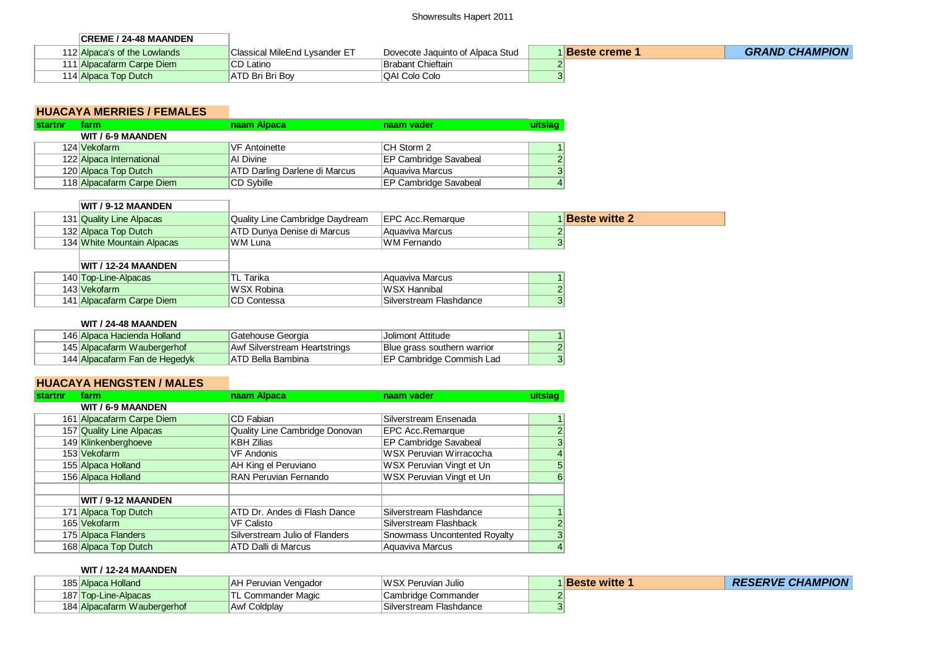## Showresults Hapert 2011

| <b>CREME / 24-48 MAANDEN</b> |                               |                                  |                        |                       |
|------------------------------|-------------------------------|----------------------------------|------------------------|-----------------------|
| 112 Alpaca's of the Lowlands | Classical MileEnd Lysander ET | Dovecote Jaquinto of Alpaca Stud | 1 <b>Beste creme 1</b> | <b>GRAND CHAMPION</b> |
| 111 Alpacafarm Carpe Diem    | <b>CD</b> Latino              | Brabant Chieftain                |                        |                       |
| 114 Alpaca Top Dutch         | IATD Bri Bri Bov              | QAI Colo Colo                    |                        |                       |

# **HUACAYA MERRIES / FEMALES**

| <b>startnr</b> | farm                      | naam Alpaca                          | naam vader                   | uitslag       |
|----------------|---------------------------|--------------------------------------|------------------------------|---------------|
|                | WIT / 6-9 MAANDEN         |                                      |                              |               |
|                | 124 Vekofarm              | VF Antoinette                        | <b>CH Storm 2</b>            |               |
|                | 122 Alpaca International  | AI Divine                            | <b>EP Cambridge Savabeal</b> | $\mathcal{P}$ |
|                | 120 Alpaca Top Dutch      | <b>ATD Darling Darlene di Marcus</b> | Aquaviva Marcus              | 3             |
|                | 118 Alpacafarm Carpe Diem | <b>CD Sybille</b>                    | <b>EP Cambridge Savabeal</b> | 4             |

## **WIT / 9-12 MAANDEN**

|  | 131 Quality Line Alpacas   | Quality Line Cambridge Daydream | <b>IEPC Acc.Remarque</b> | <b>Beste witte 2</b> |
|--|----------------------------|---------------------------------|--------------------------|----------------------|
|  | 132 Alpaca Top Dutch       | ATD Dunva Denise di Marcus      | Aauaviva Marcus          |                      |
|  | 134 White Mountain Alpacas | WM Luna                         | WM Fernando              |                      |

| <b>WIT / 12-24 MAANDEN</b> |             |                         |        |
|----------------------------|-------------|-------------------------|--------|
| 140 Top-Line-Alpacas       | TL Tarika   | Aauaviva Marcus         |        |
| 143 Vekofarm               | WSX Robina  | ∣WSX Hannibal           | $\sim$ |
| 141 Alpacafarm Carpe Diem  | CD Contessa | Silverstream Flashdance | o.     |

#### **WIT / 24-48 MAANDEN**

| 146 Alpaca Hacienda Holland   | Gatehouse Georgia             | <b>Jolimont Attitude</b>         |  |
|-------------------------------|-------------------------------|----------------------------------|--|
| 145 Alpacafarm Waubergerhof   | Awf Silverstream Heartstrings | Blue grass southern warrior      |  |
| 144 Alpacafarm Fan de Hegedyk | ATD Bella Bambina             | <b>IEP Cambridge Commish Lad</b> |  |

# **HUACAYA HENGSTEN / MALES**

| <b>startnr</b> | farm                      | naam Alpaca                    | naam vader                          | uitslag        |
|----------------|---------------------------|--------------------------------|-------------------------------------|----------------|
|                | WIT / 6-9 MAANDEN         |                                |                                     |                |
|                | 161 Alpacafarm Carpe Diem | CD Fabian                      | Silverstream Ensenada               | 1.             |
|                | 157 Quality Line Alpacas  | Quality Line Cambridge Donovan | <b>EPC Acc.Remarque</b>             | $\overline{c}$ |
|                | 149 Klinkenberghoeve      | <b>KBH Zilias</b>              | <b>EP Cambridge Savabeal</b>        | 3              |
|                | 153 Vekofarm              | <b>VF Andonis</b>              | WSX Peruvian Wirracocha             | $\overline{4}$ |
|                | 155 Alpaca Holland        | AH King el Peruviano           | WSX Peruvian Vingt et Un            | 5              |
|                | 156 Alpaca Holland        | RAN Peruvian Fernando          | WSX Peruvian Vingt et Un            | 6              |
|                |                           |                                |                                     |                |
|                | WIT / 9-12 MAANDEN        |                                |                                     |                |
|                | 171 Alpaca Top Dutch      | ATD Dr. Andes di Flash Dance   | Silverstream Flashdance             |                |
|                | 165 Vekofarm              | <b>VF Calisto</b>              | Silverstream Flashback              | $\overline{2}$ |
|                | 175 Alpaca Flanders       | Silverstream Julio of Flanders | <b>Snowmass Uncontented Royalty</b> | 3              |
|                | 168 Alpaca Top Dutch      | ATD Dalli di Marcus            | Aquaviva Marcus                     | $\overline{4}$ |

#### **WIT / 12-24 MAANDEN**

| 185 Alpaca Holland          | AH Peruvian Vengador | WSX Peruvian Julio      | <b>Beste witte</b> | <b>RESERVE CHAMPION</b> |
|-----------------------------|----------------------|-------------------------|--------------------|-------------------------|
| 187 Top-Line-Alpacas        | TL Commander Magic   | ∍Cambridge Commander    |                    |                         |
| 184 Alpacafarm Waubergerhof | Awf Coldplay         | Silverstream Flashdance |                    |                         |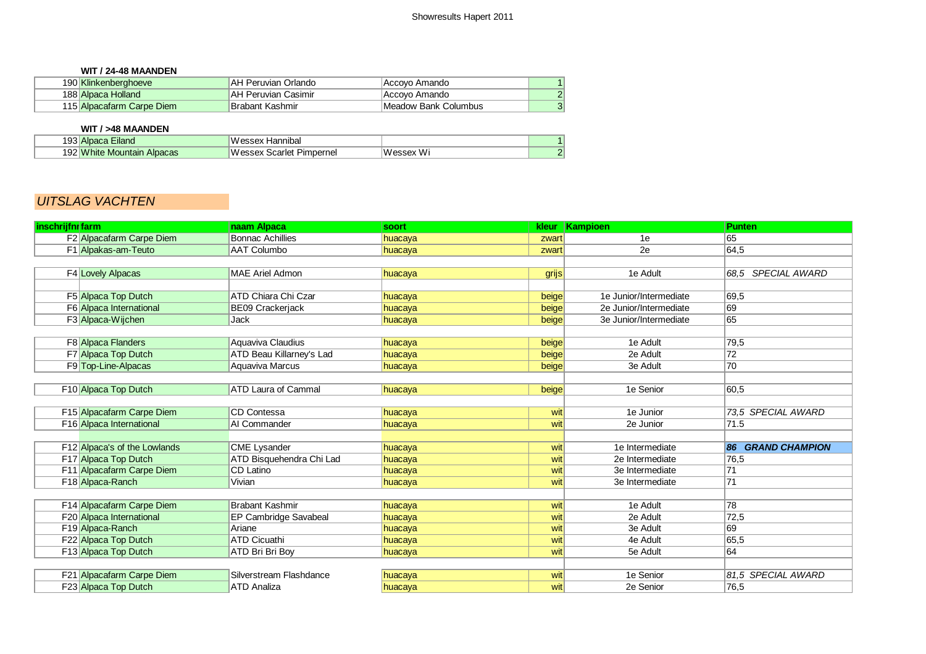#### **WIT / 24-48 MAANDEN**

| 190 Klinkenberghoeve      | <b>AH Peruvian Orlando</b> | Accovo Amando        |  |
|---------------------------|----------------------------|----------------------|--|
| 188 Alpaca Holland        | AH Peruvian Casimir        | Accovo Amando        |  |
| 115 Alpacafarm Carpe Diem | Brabant Kashmir            | Meadow Bank Columbus |  |

## **WIT / >48 MAANDEN**

| 103<br><b>⊿iland</b><br><b>Alpaca</b><br>∄טט      | 'NU.<br>Hannıbal<br>'essex            |                              |    |
|---------------------------------------------------|---------------------------------------|------------------------------|----|
| ി ∆ി<br><b>White</b><br>Alpacas<br>Mountain<br>ల∠ | <b>Messey</b><br>Pimpernel<br>icarlet | .<br>.<br>w<br>' ARSAY<br>W. | C. |

# UITSLAG VACHTEN

| inschrijfnr farm |                              | naam Alpaca                | soort   | kleur | Kampioen               | <b>Punten</b>                |
|------------------|------------------------------|----------------------------|---------|-------|------------------------|------------------------------|
|                  | F2 Alpacafarm Carpe Diem     | <b>Bonnac Achillies</b>    | huacaya | zwart | 1e                     | 65                           |
|                  | F1 Alpakas-am-Teuto          | <b>AAT Columbo</b>         | huacaya | zwart | 2e                     | 64,5                         |
|                  |                              |                            |         |       |                        |                              |
|                  | F4 Lovely Alpacas            | <b>MAE Ariel Admon</b>     | huacaya | grijs | 1e Adult               | <b>SPECIAL AWARD</b><br>68.5 |
|                  |                              |                            |         |       |                        |                              |
|                  | F5 Alpaca Top Dutch          | ATD Chiara Chi Czar        | huacaya | beige | 1e Junior/Intermediate | 69,5                         |
|                  | F6 Alpaca International      | BE09 Crackerjack           | huacaya | beige | 2e Junior/Intermediate | 69                           |
|                  | F3 Alpaca-Wijchen            | <b>Jack</b>                | huacaya | beige | 3e Junior/Intermediate | 65                           |
|                  |                              |                            |         |       |                        |                              |
|                  | F8 Alpaca Flanders           | Aquaviva Claudius          | huacaya | beige | 1e Adult               | 79,5                         |
|                  | F7 Alpaca Top Dutch          | ATD Beau Killarney's Lad   | huacaya | beige | 2e Adult               | 72                           |
|                  | F9 Top-Line-Alpacas          | Aquaviva Marcus            | huacaya | beige | 3e Adult               | 70                           |
|                  |                              |                            |         |       |                        |                              |
|                  | F10 Alpaca Top Dutch         | <b>ATD Laura of Cammal</b> | huacaya | beige | 1e Senior              | 60,5                         |
|                  |                              |                            |         |       |                        |                              |
|                  | F15 Alpacafarm Carpe Diem    | CD Contessa                | huacaya | wit   | 1e Junior              | 73.5 SPECIAL AWARD           |
|                  | F16 Alpaca International     | AI Commander               | huacaya | wit   | 2e Junior              | 71.5                         |
|                  |                              |                            |         |       |                        |                              |
|                  | F12 Alpaca's of the Lowlands | <b>CME Lysander</b>        | huacaya | wit   | 1e Intermediate        | 86 GRAND CHAMPION            |
|                  | F17 Alpaca Top Dutch         | ATD Bisquehendra Chi Lad   | huacaya | wit   | 2e Intermediate        | 76,5                         |
|                  | F11 Alpacafarm Carpe Diem    | CD Latino                  | huacaya | wit   | 3e Intermediate        | 71                           |
|                  | F18 Alpaca-Ranch             | Vivian                     | huacaya | wit   | 3e Intermediate        | 71                           |
|                  |                              |                            |         |       |                        |                              |
|                  | F14 Alpacafarm Carpe Diem    | Brabant Kashmir            | huacaya | wit   | 1e Adult               | 78                           |
|                  | F20 Alpaca International     | EP Cambridge Savabeal      | huacaya | wit   | 2e Adult               | 72,5                         |
|                  | F19 Alpaca-Ranch             | Ariane                     | huacaya | wit   | 3e Adult               | 69                           |
|                  | F22 Alpaca Top Dutch         | <b>ATD Cicuathi</b>        | huacaya | wit   | 4e Adult               | 65,5                         |
|                  | F13 Alpaca Top Dutch         | ATD Bri Bri Boy            | huacaya | wit   | 5e Adult               | 64                           |
|                  |                              |                            |         |       |                        |                              |
|                  | F21 Alpacafarm Carpe Diem    | Silverstream Flashdance    | huacaya | wit   | 1e Senior              | 81.5 SPECIAL AWARD           |
|                  | F23 Alpaca Top Dutch         | <b>ATD Analiza</b>         | huacaya | wit   | 2e Senior              | 76,5                         |